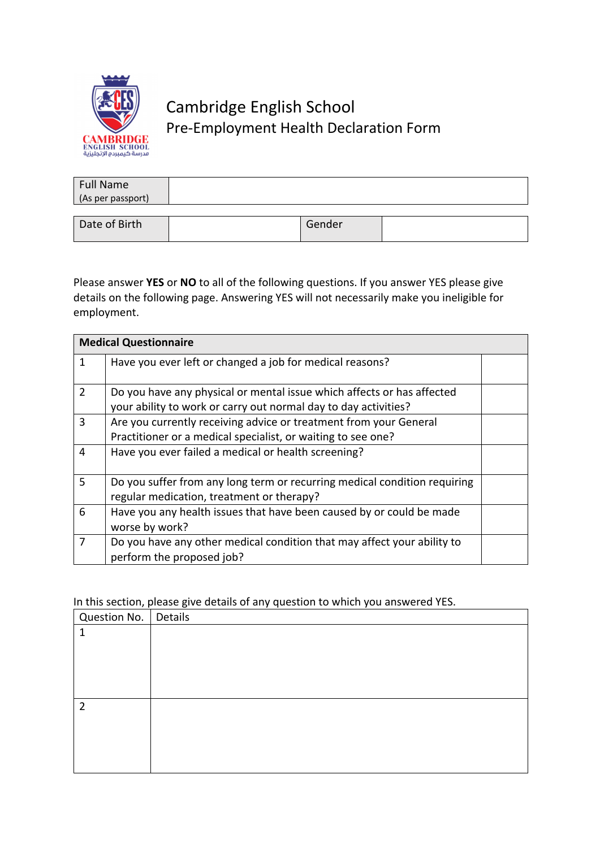

## Cambridge English School Pre-Employment Health Declaration Form

| <b>Full Name</b><br>(As per passport) |        |  |
|---------------------------------------|--------|--|
|                                       |        |  |
| Date of Birth                         | Gender |  |

Please answer **YES** or **NO** to all of the following questions. If you answer YES please give details on the following page. Answering YES will not necessarily make you ineligible for employment.

| <b>Medical Questionnaire</b> |                                                                                                                                           |  |
|------------------------------|-------------------------------------------------------------------------------------------------------------------------------------------|--|
| 1                            | Have you ever left or changed a job for medical reasons?                                                                                  |  |
| $\overline{2}$               | Do you have any physical or mental issue which affects or has affected<br>your ability to work or carry out normal day to day activities? |  |
| 3                            | Are you currently receiving advice or treatment from your General<br>Practitioner or a medical specialist, or waiting to see one?         |  |
| 4                            | Have you ever failed a medical or health screening?                                                                                       |  |
| 5                            | Do you suffer from any long term or recurring medical condition requiring<br>regular medication, treatment or therapy?                    |  |
| 6                            | Have you any health issues that have been caused by or could be made<br>worse by work?                                                    |  |
| 7                            | Do you have any other medical condition that may affect your ability to<br>perform the proposed job?                                      |  |

In this section, please give details of any question to which you answered YES.

| Question No.   Details |  |
|------------------------|--|
| 1                      |  |
|                        |  |
|                        |  |
|                        |  |
|                        |  |
| $\overline{2}$         |  |
|                        |  |
|                        |  |
|                        |  |
|                        |  |